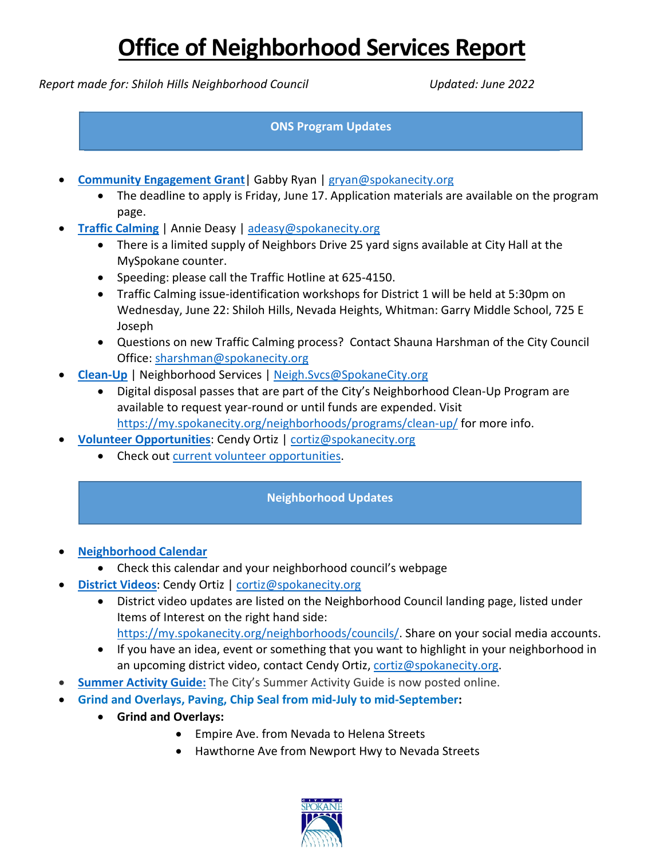*Report made for: Shiloh Hills Neighborhood Council Updated: June 2022*

#### **ONS Program Updates**

- **[Community Engagement Grant](mailto:Community%20Engagement%20Grant)**| Gabby Ryan | [gryan@spokanecity.org](mailto:gryan@spokanecity.org)
	- The deadline to apply is Friday, June 17. Application materials are available on the program page.
- **[Traffic Calming](mailto:Traffic%20Calming)** | Annie Deasy | [adeasy@spokanecity.org](mailto:adeasy@spokanecity.org)
	- There is a limited supply of Neighbors Drive 25 yard signs available at City Hall at the MySpokane counter.
	- Speeding: please call the Traffic Hotline at 625-4150.
	- Traffic Calming issue-identification workshops for District 1 will be held at 5:30pm on Wednesday, June 22: Shiloh Hills, Nevada Heights, Whitman: Garry Middle School, 725 E Joseph
	- Questions on new Traffic Calming process? Contact Shauna Harshman of the City Council Office: [sharshman@spokanecity.org](mailto:sharshman@spokanecity.org)
- **[Clean-Up](https://my.spokanecity.org/neighborhoods/programs/clean-up/)** | Neighborhood Services | [Neigh.Svcs@SpokaneCity.org](mailto:Neigh.Svcs@SpokaneCity.org)
	- Digital disposal passes that are part of the City's Neighborhood Clean-Up Program are available to request year-round or until funds are expended. Visit <https://my.spokanecity.org/neighborhoods/programs/clean-up/> for more info.
- **[Volunteer Opportunities](https://my.spokanecity.org/volunteer/)**: Cendy Ortiz | [cortiz@spokanecity.org](mailto:cortiz@spokanecity.org)
	- Check out [current volunteer opportunities.](https://spokanecity.galaxydigital.com/need/index?q=&age=&agency_id=110730&min_available_slots=&dateOn=&distance=&zip=&need_impact_area=&need_init_id=&qualification_id=&meta%5B%5D=&meta%5B%5D=&meta%5B%5D=&meta%5B%5D=&allowTeams=&ug_id=&s=1)

### **Neighborhood Updates**

- **[Neighborhood Calendar](https://calendar.google.com/calendar/u/0/embed?title=Neighborhood+Meeting+Calendar&showTz=0&height=600&wkst=1&bgcolor=%23FFFFFF&src=spokaneneighborhoods@gmail.com&color=%23333333&ctz=America/Los_Angeles%22style%3D%22border-width:0%22width%3D%22700%22height%3D%22600%22frameborder%3D%220%22scrolling%3D%22no%22%3E)**
	- Check this calendar and your neighborhood council's webpage
- **[District Videos](https://my.spokanecity.org/neighborhoods/councils/)**: Cendy Ortiz | [cortiz@spokanecity.org](mailto:cortiz@spokanecity.org)
	- District video updates are listed on the Neighborhood Council landing page, listed under Items of Interest on the right hand side: [https://my.spokanecity.org/neighborhoods/councils/.](https://my.spokanecity.org/neighborhoods/councils/) Share on your social media accounts.
	- If you have an idea, event or something that you want to highlight in your neighborhood in an upcoming district video, contact Cendy Ortiz, [cortiz@spokanecity.org.](mailto:cortiz@spokanecity.org)
- **Summer [Activity Guide:](https://my.spokanecity.org/parksrec/guides/)** The City's Summer Activity Guide is now posted online.
- **Grind and Overlays, Paving, Chip Seal from mid-July to mid-September:** 
	- **Grind and Overlays:** 
		- Empire Ave. from Nevada to Helena Streets
		- Hawthorne Ave from Newport Hwy to Nevada Streets

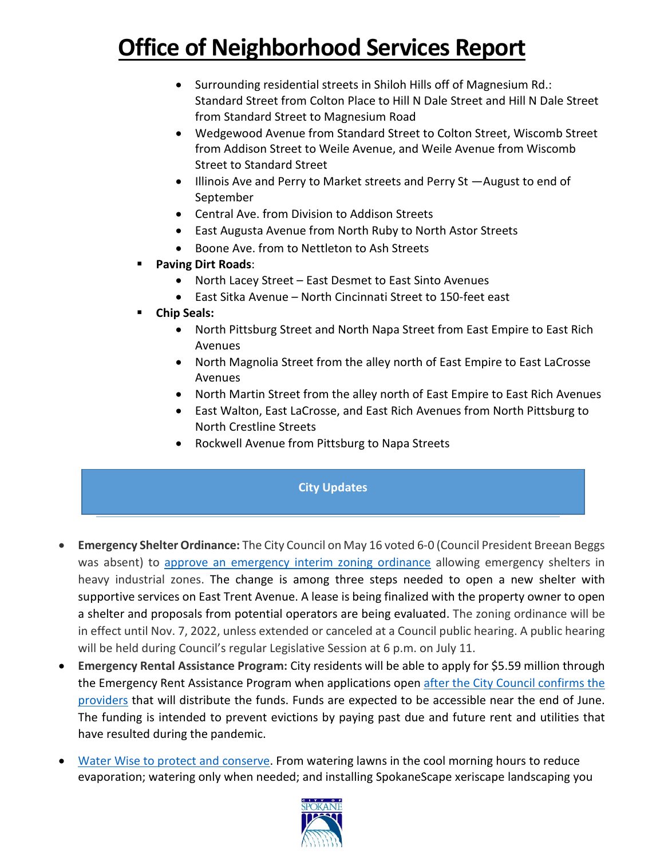- Surrounding residential streets in Shiloh Hills off of Magnesium Rd.: Standard Street from Colton Place to Hill N Dale Street and Hill N Dale Street from Standard Street to Magnesium Road
- Wedgewood Avenue from Standard Street to Colton Street, Wiscomb Street from Addison Street to Weile Avenue, and Weile Avenue from Wiscomb Street to Standard Street
- Illinois Ave and Perry to Market streets and Perry St —August to end of September
- Central Ave. from Division to Addison Streets
- East Augusta Avenue from North Ruby to North Astor Streets
- Boone Ave. from to Nettleton to Ash Streets
- **Paving Dirt Roads**:
	- North Lacey Street East Desmet to East Sinto Avenues
	- East Sitka Avenue North Cincinnati Street to 150-feet east
- **Chip Seals:** 
	- North Pittsburg Street and North Napa Street from East Empire to East Rich Avenues
	- North Magnolia Street from the alley north of East Empire to East LaCrosse Avenues
	- North Martin Street from the alley north of East Empire to East Rich Avenues
	- East Walton, East LaCrosse, and East Rich Avenues from North Pittsburg to North Crestline Streets
	- Rockwell Avenue from Pittsburg to Napa Streets

#### **City Updates**

- **Emergency Shelter Ordinance:** The City Council on May 16 voted 6-0 (Council President Breean Beggs was absent) to [approve an emergency interim zoning ordinance](https://my.spokanecity.org/news/releases/2022/05/17/city-council-approves-amended-interim-zoning-ordinance/) allowing emergency shelters in heavy industrial zones. The change is among three steps needed to open a new shelter with supportive services on East Trent Avenue. A lease is being finalized with the property owner to open a shelter and proposals from potential operators are being evaluated. The zoning ordinance will be in effect until Nov. 7, 2022, unless extended or canceled at a Council public hearing. A public hearing will be held during Council's regular Legislative Session at 6 p.m. on July 11.
- **Emergency Rental Assistance Program:** City residents will be able to apply for \$5.59 million through the Emergency Rent Assistance Program when applications open after the City Council confirms the [providers](https://my.spokanecity.org/news/releases/2022/05/10/emergency-rent-assistance-funds-to-become-available-for-city-residents/) that will distribute the funds. Funds are expected to be accessible near the end of June. The funding is intended to prevent evictions by paying past due and future rent and utilities that have resulted during the pandemic.
- [Water Wise to protect and conserve.](https://my.spokanecity.org/publicworks/water/water-wise-spokane/) From watering lawns in the cool morning hours to reduce evaporation; watering only when needed; and installing SpokaneScape xeriscape landscaping you

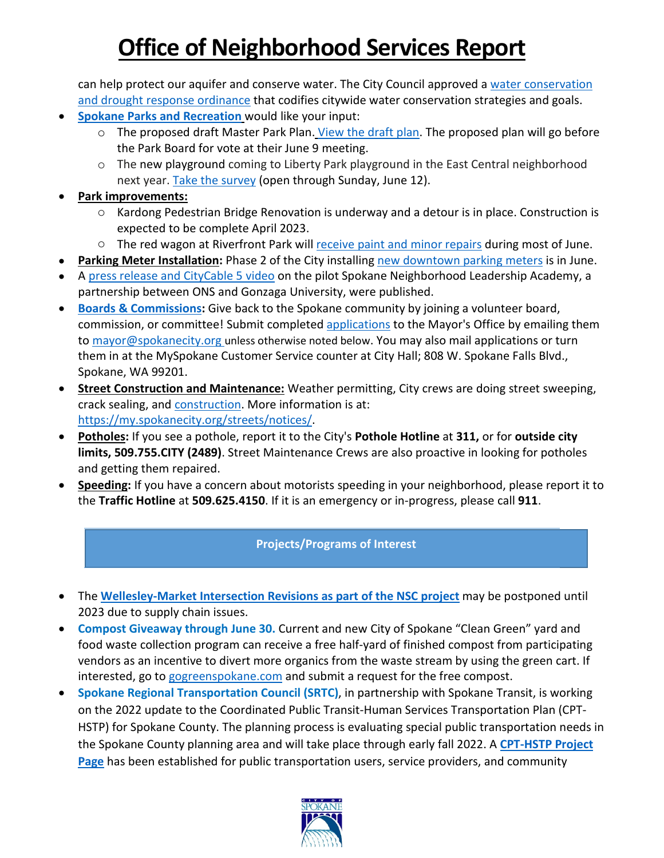can help protect our aquifer and conserve water. The City Council approved a [water conservation](https://my.spokanecity.org/news/releases/2022/05/24/city-council-approves-drought-response-measures-ordinance/)  [and drought response ordinance](https://my.spokanecity.org/news/releases/2022/05/24/city-council-approves-drought-response-measures-ordinance/) that codifies citywide water conservation strategies and goals.

- **[Spokane Parks and Recreation](https://my.spokanecity.org/parksrec/master-plan/draft-plan/)** would like your input:
	- o The proposed draft Master Park Plan. [View the draft plan.](https://my.spokanecity.org/parksrec/master-plan/draft-plan/) The proposed plan will go before the Park Board for vote at their June 9 meeting.
	- o The new playground coming to Liberty Park playground in the East Central neighborhood next year. [Take the survey](https://www.surveymonkey.com/r/NYB9L2R) (open through Sunday, June 12).
- **Park improvements:** 
	- o Kardong Pedestrian Bridge Renovation is underway and a detour is in place. Construction is expected to be complete April 2023.
	- o The red wagon at Riverfront Park wil[l receive paint and minor repairs](https://my.spokanecity.org/parksrec/news/2022/05/27/red-wagon-in-riverfront-to-receive-fresh-paint-minor-repairs/) during most of June.
- **Parking Meter Installation:** Phase 2 of the City installing [new downtown parking meters](https://my.spokanecity.org/news/releases/2022/05/16/city-begins-installation-of-new-parking-meters/) is in June.
- A [press release and CityCable 5 video](https://my.spokanecity.org/news/releases/2022/05/23/taking-leadership-skills-back-to-the-neighborhoods/) on the pilot Spokane Neighborhood Leadership Academy, a partnership between ONS and Gonzaga University, were published.
- **[Boards & Commissions:](https://my.spokanecity.org/bcc/vacancies/)** Give back to the Spokane community by joining a volunteer board, commission, or committee! Submit completed [applications](https://static.spokanecity.org/documents/bcc/committee-commissions-board-application-2021-12-19.pdf) to the Mayor's Office by emailing them to [mayor@spokanecity.org](mailto:mayor@spokanecity.org) unless otherwise noted below. You may also mail applications or turn them in at the MySpokane Customer Service counter at City Hall; 808 W. Spokane Falls Blvd., Spokane, WA 99201.
- **Street Construction and Maintenance:** Weather permitting, City crews are doing street sweeping, crack sealing, and **construction**. More information is at: [https://my.spokanecity.org/streets/notices/.](https://my.spokanecity.org/streets/notices/)
- **Potholes:** If you see a pothole, report it to the City's **Pothole Hotline** at **311,** or for **outside city limits, 509.755.CITY (2489)**. Street Maintenance Crews are also proactive in looking for potholes and getting them repaired.
- **Speeding:** If you have a concern about motorists speeding in your neighborhood, please report it to the **Traffic Hotline** at **509.625.4150**. If it is an emergency or in-progress, please call **911**.

#### **Projects/Programs of Interest**

- The **[Wellesley-Market Intersection Revisions as part of the NSC](https://static.spokanecity.org/documents/projects/wellesley-market-intersection-revisions-nsc/wellesley-market-intersection-revisions-nsc-detours.pdf) project** may be postponed until 2023 due to supply chain issues.
- **Compost Giveaway through June 30.** Current and new City of Spokane "Clean Green" yard and food waste collection program can receive a free half-yard of finished compost from participating vendors as an incentive to divert more organics from the waste stream by using the green cart. If interested, go t[o gogreenspokane.com](https://gogreenspokane.com/) and submit a request for the free compost.
- **Spokane Regional Transportation Council (SRTC)**, in partnership with Spokane Transit, is working on the 2022 update to the Coordinated Public Transit-Human Services Transportation Plan (CPT-HSTP) for Spokane County. The planning process is evaluating special public transportation needs in the Spokane County planning area and will take place through early fall 2022. A **[CPT-HSTP Project](https://arcg.is/1eqP4C0)  [Page](https://arcg.is/1eqP4C0)** has been established for public transportation users, service providers, and community

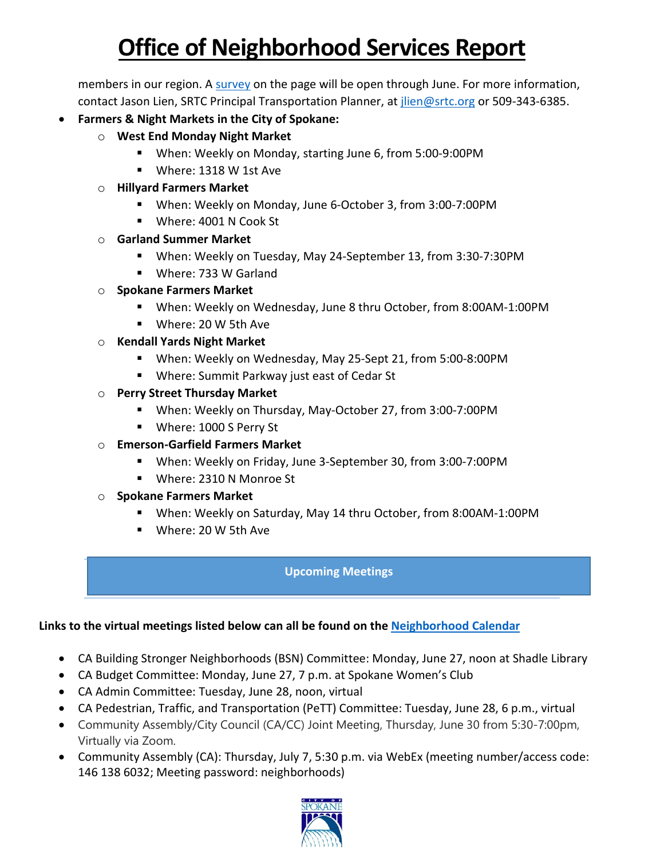members in our region. A [survey](https://survey123.arcgis.com/share/428e787a273743eebed25db1289b6bb3) on the page will be open through June. For more information, contact Jason Lien, SRTC Principal Transportation Planner, at *jlien@srtc.org* or 509-343-6385.

- **Farmers & Night Markets in the City of Spokane:**
	- o **West End Monday Night Market**
		- When: Weekly on Monday, starting June 6, from 5:00-9:00PM
		- Where: 1318 W 1st Ave
	- o **Hillyard Farmers Market**
		- When: Weekly on Monday, June 6-October 3, from 3:00-7:00PM
		- Where: 4001 N Cook St
	- o **Garland Summer Market**
		- When: Weekly on Tuesday, May 24-September 13, from 3:30-7:30PM
		- Where: 733 W Garland
	- o **Spokane Farmers Market**
		- When: Weekly on Wednesday, June 8 thru October, from 8:00AM-1:00PM
		- Where: 20 W 5th Ave
	- o **Kendall Yards Night Market**
		- When: Weekly on Wednesday, May 25-Sept 21, from 5:00-8:00PM
		- Where: Summit Parkway just east of Cedar St
	- o **Perry Street Thursday Market**
		- When: Weekly on Thursday, May-October 27, from 3:00-7:00PM
		- **Where: 1000 S Perry St**
	- o **Emerson-Garfield Farmers Market**
		- When: Weekly on Friday, June 3-September 30, from 3:00-7:00PM
		- Where: 2310 N Monroe St
	- o **Spokane Farmers Market**
		- When: Weekly on Saturday, May 14 thru October, from 8:00AM-1:00PM
		- Where: 20 W 5th Ave

### **Upcoming Meetings**

### **Links to the virtual meetings listed below can all be found on th[e Neighborhood Calendar](https://calendar.google.com/calendar/u/0/embed?title=Neighborhood+Meeting+Calendar&showTz=0&height=600&wkst=1&bgcolor=%23FFFFFF&src=spokaneneighborhoods@gmail.com&color=%23333333&ctz=America/Los_Angeles%22style%3D%22border-width:0%22width%3D%22700%22height%3D%22600%22frameborder%3D%220%22scrolling%3D%22no%22%3E)**

- CA Building Stronger Neighborhoods (BSN) Committee: Monday, June 27, noon at Shadle Library
- CA Budget Committee: Monday, June 27, 7 p.m. at Spokane Women's Club
- CA Admin Committee: Tuesday, June 28, noon, virtual
- CA Pedestrian, Traffic, and Transportation (PeTT) Committee: Tuesday, June 28, 6 p.m., virtual
- Community Assembly/City Council (CA/CC) Joint Meeting, Thursday, June 30 from 5:30-7:00pm, Virtually via Zoom.
- Community Assembly (CA): Thursday, July 7, 5:30 p.m. via WebEx (meeting number/access code: 146 138 6032; Meeting password: neighborhoods)